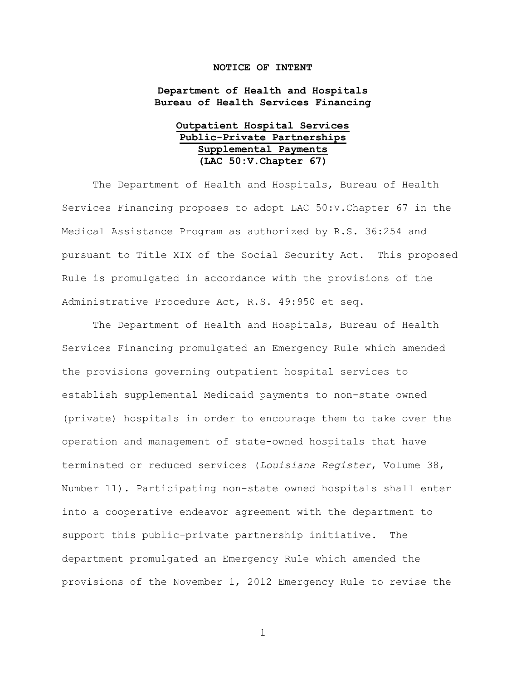## **NOTICE OF INTENT**

**Department of Health and Hospitals Bureau of Health Services Financing**

## **Outpatient Hospital Services Public-Private Partnerships Supplemental Payments (LAC 50:V.Chapter 67)**

The Department of Health and Hospitals, Bureau of Health Services Financing proposes to adopt LAC 50:V.Chapter 67 in the Medical Assistance Program as authorized by R.S. 36:254 and pursuant to Title XIX of the Social Security Act. This proposed Rule is promulgated in accordance with the provisions of the Administrative Procedure Act, R.S. 49:950 et seq.

The Department of Health and Hospitals, Bureau of Health Services Financing promulgated an Emergency Rule which amended the provisions governing outpatient hospital services to establish supplemental Medicaid payments to non-state owned (private) hospitals in order to encourage them to take over the operation and management of state-owned hospitals that have terminated or reduced services (*Louisiana Register*, Volume 38, Number 11). Participating non-state owned hospitals shall enter into a cooperative endeavor agreement with the department to support this public-private partnership initiative. The department promulgated an Emergency Rule which amended the provisions of the November 1, 2012 Emergency Rule to revise the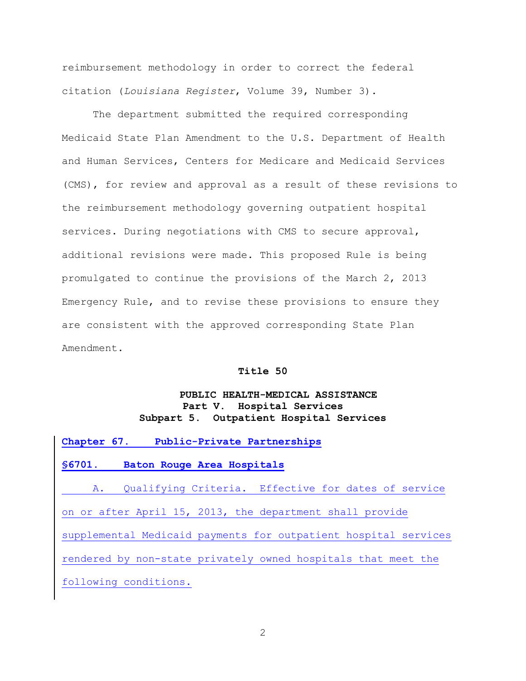reimbursement methodology in order to correct the federal citation (*Louisiana Register*, Volume 39, Number 3).

The department submitted the required corresponding Medicaid State Plan Amendment to the U.S. Department of Health and Human Services, Centers for Medicare and Medicaid Services (CMS), for review and approval as a result of these revisions to the reimbursement methodology governing outpatient hospital services. During negotiations with CMS to secure approval, additional revisions were made. This proposed Rule is being promulgated to continue the provisions of the March 2, 2013 Emergency Rule, and to revise these provisions to ensure they are consistent with the approved corresponding State Plan Amendment.

## **Title 50**

## **PUBLIC HEALTH-MEDICAL ASSISTANCE Part V. Hospital Services Subpart 5. Outpatient Hospital Services**

| Chapter 67.                          | Public-Private Partnerships                                     |
|--------------------------------------|-----------------------------------------------------------------|
| $\textcolor{blue}{\mathbf{\$6701.}}$ | Baton Rouge Area Hospitals                                      |
|                                      | A. Qualifying Criteria. Effective for dates of service          |
|                                      | on or after April 15, 2013, the department shall provide        |
|                                      | supplemental Medicaid payments for outpatient hospital services |
|                                      | rendered by non-state privately owned hospitals that meet the   |
|                                      | following conditions.                                           |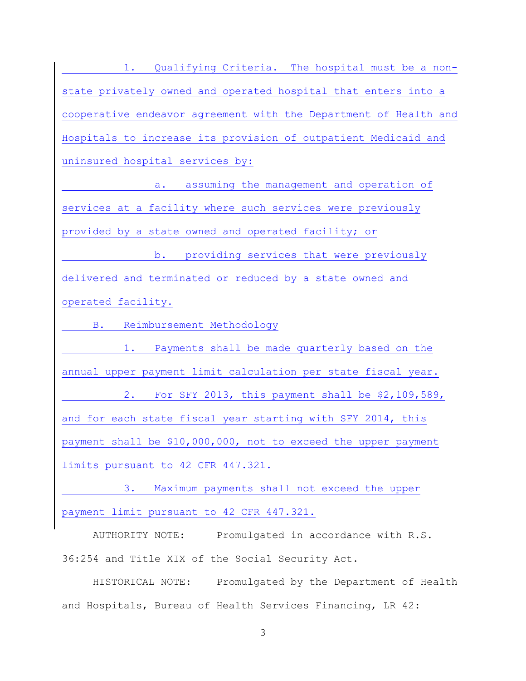1. Qualifying Criteria. The hospital must be a nonstate privately owned and operated hospital that enters into a cooperative endeavor agreement with the Department of Health and Hospitals to increase its provision of outpatient Medicaid and uninsured hospital services by:

a. assuming the management and operation of services at a facility where such services were previously provided by a state owned and operated facility; or

b. providing services that were previously delivered and terminated or reduced by a state owned and operated facility.

B. Reimbursement Methodology

1. Payments shall be made quarterly based on the annual upper payment limit calculation per state fiscal year.

2. For SFY 2013, this payment shall be \$2,109,589, and for each state fiscal year starting with SFY 2014, this payment shall be \$10,000,000, not to exceed the upper payment limits pursuant to 42 CFR 447.321.

3. Maximum payments shall not exceed the upper payment limit pursuant to 42 CFR 447.321.

AUTHORITY NOTE: Promulgated in accordance with R.S. 36:254 and Title XIX of the Social Security Act.

HISTORICAL NOTE: Promulgated by the Department of Health and Hospitals, Bureau of Health Services Financing, LR 42: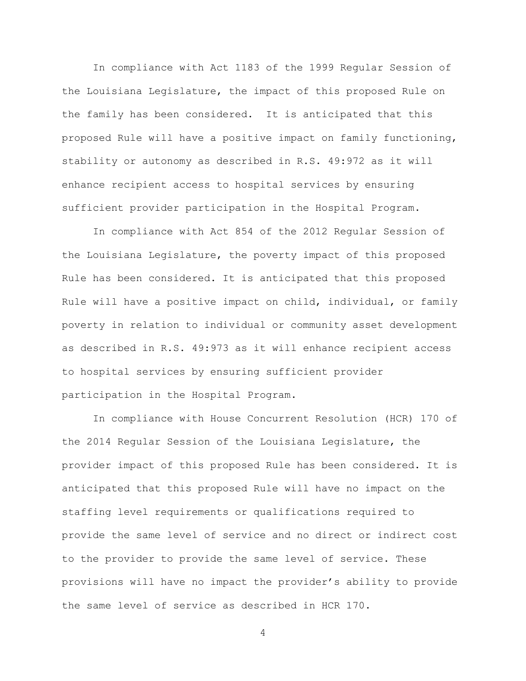In compliance with Act 1183 of the 1999 Regular Session of the Louisiana Legislature, the impact of this proposed Rule on the family has been considered. It is anticipated that this proposed Rule will have a positive impact on family functioning, stability or autonomy as described in R.S. 49:972 as it will enhance recipient access to hospital services by ensuring sufficient provider participation in the Hospital Program.

In compliance with Act 854 of the 2012 Regular Session of the Louisiana Legislature, the poverty impact of this proposed Rule has been considered. It is anticipated that this proposed Rule will have a positive impact on child, individual, or family poverty in relation to individual or community asset development as described in R.S. 49:973 as it will enhance recipient access to hospital services by ensuring sufficient provider participation in the Hospital Program.

In compliance with House Concurrent Resolution (HCR) 170 of the 2014 Regular Session of the Louisiana Legislature, the provider impact of this proposed Rule has been considered. It is anticipated that this proposed Rule will have no impact on the staffing level requirements or qualifications required to provide the same level of service and no direct or indirect cost to the provider to provide the same level of service. These provisions will have no impact the provider's ability to provide the same level of service as described in HCR 170.